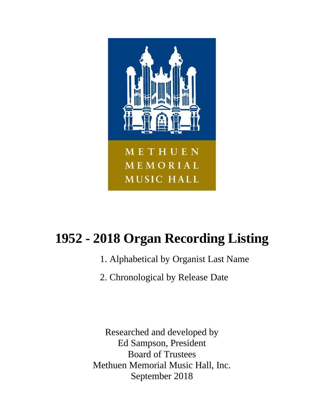

# **1952 - 2018 Organ Recording Listing**

- 1. Alphabetical by Organist Last Name
- 2. Chronological by Release Date

Researched and developed by Ed Sampson, President Board of Trustees Methuen Memorial Music Hall, Inc. September 2018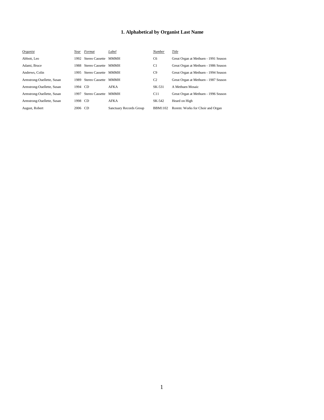| Organist                   | Year    | Format               | Label                   | Number         | Title                                |
|----------------------------|---------|----------------------|-------------------------|----------------|--------------------------------------|
| Abbott, Leo                | 1992    | Stereo Cassette      | <b>MMMH</b>             | C <sub>6</sub> | Great Organ at Methuen - 1991 Season |
| Adami, Bruce               | 1988    | Stereo Cassette MMMH |                         | C1             | Great Organ at Methuen - 1986 Season |
| Andrews, Colin             | 1995    | Stereo Cassette      | <b>MMMH</b>             | C9             | Great Organ at Methuen - 1994 Season |
| Armstrong-Ouellette, Susan | 1989    | Stereo Cassette      | <b>MMMH</b>             | C <sub>2</sub> | Great Organ at Methuen - 1987 Season |
| Armstrong-Ouellette, Susan | 1994    | -CD                  | <b>AFKA</b>             | SK-531         | A Methuen Mosaic                     |
| Armstrong-Ouellette, Susan | 1997    | Stereo Cassette      | <b>MMMH</b>             | C11            | Great Organ at Methuen - 1996 Season |
| Armstrong-Ouellette, Susan | 1998 CD |                      | <b>AFKA</b>             | SK-542         | Heard on High                        |
| August, Robert             | 2006 CD |                      | Sanctuary Records Group | <b>BBM1102</b> | Rorem: Works for Choir and Organ     |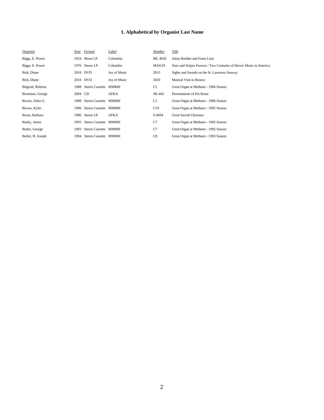| Organist          | Year    | Format               | Label        | Number         | Title                                                                |
|-------------------|---------|----------------------|--------------|----------------|----------------------------------------------------------------------|
| Biggs, E. Power   |         | 1954 Mono LP         | Columbia     | ML 4820        | Julius Reubke and Franz Liszt                                        |
| Biggs, E. Power   |         | 1976 Stereo LP       | Columbia     | M34129         | Stars and Stripes Forever / Two Centuries of Heroic Music in America |
| Bish, Diane       |         | 2010 DVD             | Joy of Music | 2915           | Sights and Sounds on the St. Lawrence Seaway                         |
| Bish, Diane       |         | 2010 DVD             | Joy of Music | 3020           | <b>Musical Visit to Boston</b>                                       |
| Bitgood, Roberta  | 1988    | Stereo Cassette MMMH |              | C <sub>1</sub> | Great Organ at Methuen - 1986 Season                                 |
| Bozeman, George   | 2004 CD |                      | AFKA         | SK-442         | Permutations of Pot Roast                                            |
| Brown, Allen G.   | 1988    | Stereo Cassette MMMH |              | C <sub>1</sub> | Great Organ at Methuen - 1986 Season                                 |
| Brown, Kyler      | 1996    | Stereo Cassette MMMH |              | C10            | Great Organ at Methuen - 1995 Season                                 |
| Bruns, Barbara    | 1986    | Stereo LP            | AFKA         | S-4694         | <b>Great Sacred Choruses</b>                                         |
| Busby, James      | 1993    | Stereo Cassette MMMH |              | C7             | Great Organ at Methuen - 1992 Season                                 |
| Butler, George    | 1993    | Stereo Cassette MMMH |              | C7             | Great Organ at Methuen - 1992 Season                                 |
| Butler, H. Joseph | 1994    | Stereo Cassette MMMH |              | C8             | Great Organ at Methuen - 1993 Season                                 |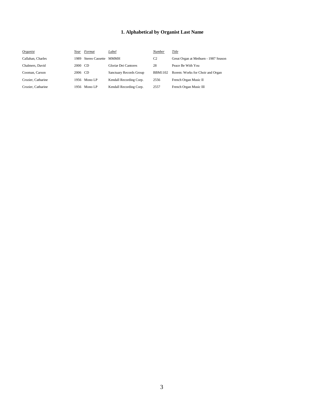| Organist           | Year    | Format               | Label                   | Number         | Title                                |
|--------------------|---------|----------------------|-------------------------|----------------|--------------------------------------|
| Callahan, Charles  | 1989.   | Stereo Cassette MMMH |                         | C <sub>2</sub> | Great Organ at Methuen - 1987 Season |
| Chalmers, David    | 2000 CD |                      | Gloriæ Dei Cantores     | 28             | Peace Be With You                    |
| Cooman, Carson     | 2006 CD |                      | Sanctuary Records Group | <b>BBM1102</b> | Rorem: Works for Choir and Organ     |
| Crozier, Catharine |         | 1956 Mono LP         | Kendall Recording Corp. | 2556           | French Organ Music II                |
| Crozier, Catharine |         | 1956 Mono LP         | Kendall Recording Corp. | 2557           | French Organ Music III               |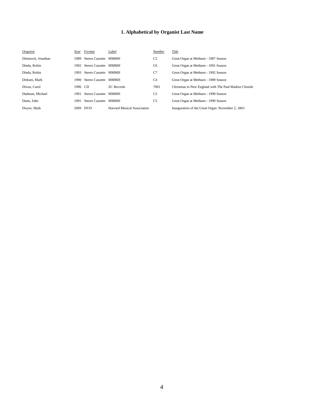| Organist          | Year    | Format                    | Label                              | <b>Number</b>  | Title                                                 |
|-------------------|---------|---------------------------|------------------------------------|----------------|-------------------------------------------------------|
| Dimmock. Jonathan | 1989    | Stereo Cassette MMMH      |                                    | C <sub>2</sub> | Great Organ at Methuen - 1987 Season                  |
| Dinda, Robin      |         | 1992 Stereo Cassette MMMH |                                    | C <sub>6</sub> | Great Organ at Methuen - 1991 Season                  |
| Dinda, Robin      | 1993    | Stereo Cassette MMMH      |                                    | C7             | Great Organ at Methuen - 1992 Season                  |
| Dirksen, Mark     |         | 1990 Stereo Cassette MMMH |                                    | C <sub>4</sub> | Great Organ at Methuen - 1989 Season                  |
| Dixon, Carol      | 1996 CD |                           | <b>ZC</b> Records                  | 7001           | Christmas in New England with The Paul Madore Chorale |
| Dudman, Michael   | 1991    | Stereo Cassette MMMH      |                                    | C <sub>5</sub> | Great Organ at Methuen - 1990 Season                  |
| Dunn. John        | 1991    | Stereo Cassette MMMH      |                                    | C <sub>5</sub> | Great Organ at Methuen - 1990 Season                  |
| Dwyer, Mark       |         | 2009 DVD                  | <b>Harvard Musical Association</b> |                | Inauguration of the Great Organ: November 2, 1863     |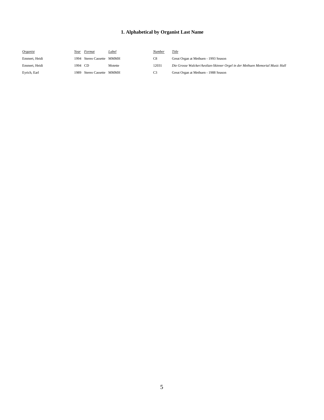| <i><u><b>Organist</b></u></i> | Year    | Format                    | <u>Label</u> | Number         | <u>Title</u>                                                                |
|-------------------------------|---------|---------------------------|--------------|----------------|-----------------------------------------------------------------------------|
| Emmert, Heidi                 |         | 1994 Stereo Cassette MMMH |              | C8             | Great Organ at Methuen - 1993 Season                                        |
| Emmert, Heidi                 | 1994 CD |                           | Motette      | 12031          | Die Grosse Walcker/Aeolian-Skinner Orgel in der Methuen Memorial Music Hall |
| Eyrich, Earl                  |         | 1989 Stereo Cassette MMMH |              | C <sub>3</sub> | Great Organ at Methuen - 1988 Season                                        |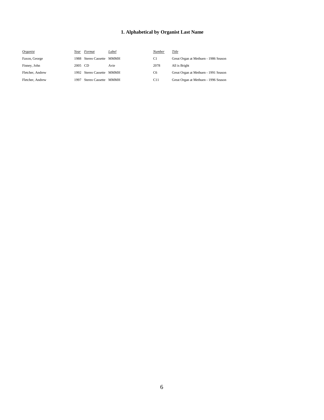| Organist         | Year    | Format                    | Label | Number         | Title                                |
|------------------|---------|---------------------------|-------|----------------|--------------------------------------|
| Faxon, George    |         | 1988 Stereo Cassette MMMH |       | C1             | Great Organ at Methuen - 1986 Season |
| Finney, John     | 2005 CD |                           | Avie  | 2078           | All is Bright                        |
| Fletcher, Andrew |         | 1992 Stereo Cassette MMMH |       | C <sub>6</sub> | Great Organ at Methuen - 1991 Season |
| Fletcher, Andrew | 1997    | Stereo Cassette MMMH      |       | C11            | Great Organ at Methuen - 1996 Season |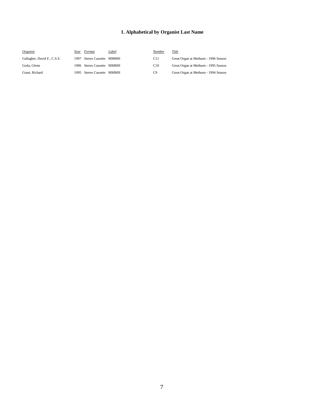| Organist                    | Year | Format                    | Label | Number          | Title                                |
|-----------------------------|------|---------------------------|-------|-----------------|--------------------------------------|
| Gallagher, David F., C.S.S. |      | 1997 Stereo Cassette MMMH |       | C <sub>11</sub> | Great Organ at Methuen - 1996 Season |
| Goda, Glenn                 |      | 1996 Stereo Cassette MMMH |       | C10             | Great Organ at Methuen - 1995 Season |
| Grant, Richard              |      | 1995 Stereo Cassette MMMH |       | C9              | Great Organ at Methuen - 1994 Season |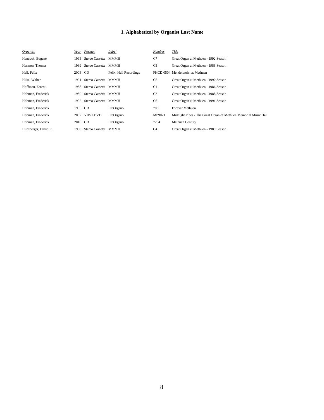| Organist             | Year    | Format                    | Label                 | Number         | Title                                                           |
|----------------------|---------|---------------------------|-----------------------|----------------|-----------------------------------------------------------------|
| Hancock, Eugene      | 1993    | Stereo Cassette MMMH      |                       | C7             | Great Organ at Methuen - 1992 Season                            |
| Harmon, Thomas       | 1989    | Stereo Cassette           | MMMH                  | C <sub>3</sub> | Great Organ at Methuen - 1988 Season                            |
| Hell, Felix          | 2003 CD |                           | Felix Hell Recordings |                | FHCD 0504 Mendelssohn at Methuen                                |
| Hilse, Walter        |         | 1991 Stereo Cassette MMMH |                       | C <sub>5</sub> | Great Organ at Methuen - 1990 Season                            |
| Hoffman, Ernest      |         | 1988 Stereo Cassette MMMH |                       | C <sub>1</sub> | Great Organ at Methuen - 1986 Season                            |
| Hohman, Frederick    | 1989    | Stereo Cassette MMMH      |                       | C <sub>3</sub> | Great Organ at Methuen - 1988 Season                            |
| Hohman, Frederick    |         | 1992 Stereo Cassette      | MMMH                  | C <sub>6</sub> | Great Organ at Methuen - 1991 Season                            |
| Hohman, Frederick    | 1995 CD |                           | ProOrgano             | 7066           | Forever Methuen                                                 |
| Hohman, Frederick    |         | 2002 VHS / DVD            | ProOrgano             | MP9021         | Midnight Pipes - The Great Organ of Methuen Memorial Music Hall |
| Hohman, Frederick    | 2010 CD |                           | ProOrgano             | 7234           | <b>Methuen Century</b>                                          |
| Hunsberger, David R. | 1990    | Stereo Cassette           | MMMH                  | C <sub>4</sub> | Great Organ at Methuen - 1989 Season                            |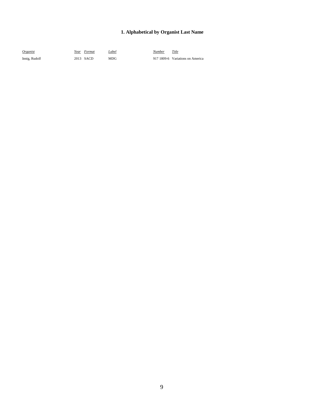| Organist      | Year Format | Label      | Number | Title                            |
|---------------|-------------|------------|--------|----------------------------------|
| Innig, Rudolf | 2013 SACD   | <b>MDG</b> |        | 917 1809-6 Variations on America |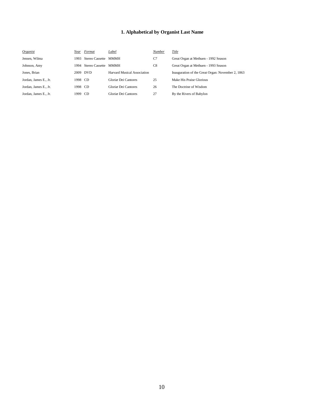| Organist              | Year | Format          | Label                       | Number | Title                                             |
|-----------------------|------|-----------------|-----------------------------|--------|---------------------------------------------------|
| Jensen, Wilma         | 1993 | Stereo Cassette | <b>MMMH</b>                 | C7     | Great Organ at Methuen - 1992 Season              |
| Johnson, Amy          | 1994 | Stereo Cassette | <b>MMMH</b>                 | C8     | Great Organ at Methuen - 1993 Season              |
| Jones, Brian          |      | 2009 DVD        | Harvard Musical Association |        | Inauguration of the Great Organ: November 2, 1863 |
| Jordan, James E., Jr. | 1998 | - CD            | Gloriæ Dei Cantores         | 25     | Make His Praise Glorious                          |
| Jordan, James E., Jr. | 1998 | - CD            | Gloriæ Dei Cantores         | 26     | The Doctrine of Wisdom                            |
| Jordan, James E., Jr. | 1999 | -CD             | Gloriæ Dei Cantores         | 27     | By the Rivers of Babylon                          |
|                       |      |                 |                             |        |                                                   |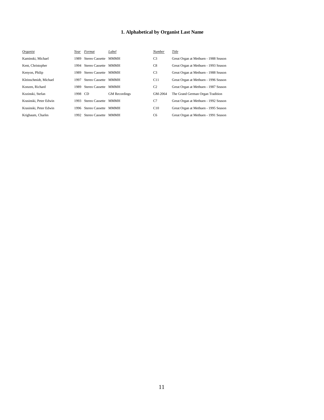| Organist               | Year  | Format               | Label                | Number         | Title                                |
|------------------------|-------|----------------------|----------------------|----------------|--------------------------------------|
| Kaminski, Michael      | 1989. | Stereo Cassette MMMH |                      | C <sub>3</sub> | Great Organ at Methuen - 1988 Season |
| Kent, Christopher      | 1994  | Stereo Cassette MMMH |                      | C8             | Great Organ at Methuen - 1993 Season |
| Kenyon, Philip         | 1989  | Stereo Cassette MMMH |                      | C <sub>3</sub> | Great Organ at Methuen - 1988 Season |
| Kleinschmidt, Michael  | 1997  | Stereo Cassette MMMH |                      | C11            | Great Organ at Methuen - 1996 Season |
| Konzen, Richard        | 1989  | Stereo Cassette      | <b>MMMH</b>          | C <sub>2</sub> | Great Organ at Methuen - 1987 Season |
| Kozinski, Stefan       | 1998  | CD.                  | <b>GM</b> Recordings | GM-2064        | The Grand German Organ Tradition     |
| Krasinski, Peter Edwin | 1993  | Stereo Cassette      | MMMH                 | C7             | Great Organ at Methuen - 1992 Season |
| Krasinski, Peter Edwin | 1996  | Stereo Cassette MMMH |                      | C10            | Great Organ at Methuen - 1995 Season |
| Krigbaum, Charles      | 1992  | Stereo Cassette MMMH |                      | C <sub>6</sub> | Great Organ at Methuen - 1991 Season |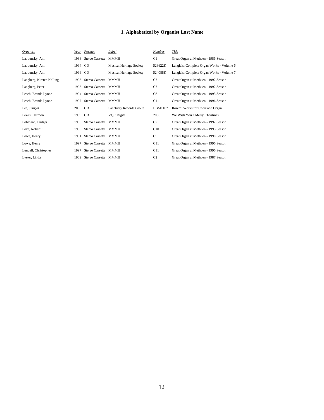| Organist                  | Year    | Format               | Label                           | Number         | Title                                     |
|---------------------------|---------|----------------------|---------------------------------|----------------|-------------------------------------------|
| Labounsky, Ann            | 1988    | Stereo Cassette      | <b>MMMH</b>                     | C1             | Great Organ at Methuen - 1986 Season      |
| Labounsky, Ann            | 1994 CD |                      | <b>Musical Heritage Society</b> | 523622K        | Langlais: Complete Organ Works - Volume 6 |
| Labounsky, Ann            | 1996 CD |                      | Musical Heritage Society        | 524088K        | Langlais: Complete Organ Works - Volume 7 |
| Langberg, Kirsten Kolling | 1993    | Stereo Cassette      | MMMH                            | C7             | Great Organ at Methuen - 1992 Season      |
| Langberg, Peter           | 1993    | Stereo Cassette MMMH |                                 | C7             | Great Organ at Methuen - 1992 Season      |
| Leach, Brenda Lynne       | 1994    | Stereo Cassette MMMH |                                 | C8             | Great Organ at Methuen - 1993 Season      |
| Leach, Brenda Lynne       | 1997    | Stereo Cassette MMMH |                                 | C11            | Great Organ at Methuen - 1996 Season      |
| Lee, Jung-A               | 2006 CD |                      | Sanctuary Records Group         | <b>BBM1102</b> | Rorem: Works for Choir and Organ          |
| Lewis, Harmon             | 1989 CD |                      | <b>VQR</b> Digital              | 2036           | We Wish You a Merry Christmas             |
| Lohmann, Ludger           | 1993    | Stereo Cassette MMMH |                                 | C7             | Great Organ at Methuen - 1992 Season      |
| Love, Robert K.           | 1996    | Stereo Cassette MMMH |                                 | C10            | Great Organ at Methuen - 1995 Season      |
| Lowe, Henry               | 1991    | Stereo Cassette MMMH |                                 | C5             | Great Organ at Methuen - 1990 Season      |
| Lowe, Henry               | 1997    | Stereo Cassette MMMH |                                 | C11            | Great Organ at Methuen - 1996 Season      |
| Lundell, Christopher      | 1997    | Stereo Cassette MMMH |                                 | C11            | Great Organ at Methuen - 1996 Season      |
| Lyster, Linda             | 1989    | Stereo Cassette MMMH |                                 | C <sub>2</sub> | Great Organ at Methuen - 1987 Season      |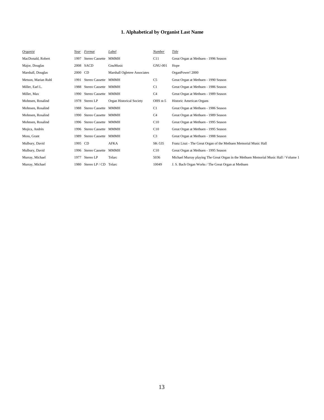| <i><u><b>Organist</b></u></i> | Year    | Format                    | Label                        | Number         | Title                                                                                |
|-------------------------------|---------|---------------------------|------------------------------|----------------|--------------------------------------------------------------------------------------|
| MacDonald, Robert             | 1997    | Stereo Cassette           | MMMH                         | C11            | Great Organ at Methuen - 1996 Season                                                 |
| Major, Douglas                |         | 2008 SACD                 | GnuMusic                     | <b>GNU-001</b> | Hope                                                                                 |
| Marshall, Douglas             | 2000 CD |                           | Marshall Ogletree Associates |                | OrganPower! 2000                                                                     |
| Metson, Marian Ruhl           | 1991    | Stereo Cassette MMMH      |                              | C5             | Great Organ at Methuen - 1990 Season                                                 |
| Miller, Earl L.               |         | 1988 Stereo Cassette MMMH |                              | C <sub>1</sub> | Great Organ at Methuen - 1986 Season                                                 |
| Miller, Max                   |         | 1990 Stereo Cassette MMMH |                              | C4             | Great Organ at Methuen - 1989 Season                                                 |
| Mohnsen, Rosalind             |         | 1978 Stereo LP            | Organ Historical Society     | OHS st-5       | Historic American Organs                                                             |
| Mohnsen, Rosalind             | 1988    | Stereo Cassette MMMH      |                              | C <sub>1</sub> | Great Organ at Methuen - 1986 Season                                                 |
| Mohnsen, Rosalind             | 1990    | Stereo Cassette MMMH      |                              | C <sub>4</sub> | Great Organ at Methuen - 1989 Season                                                 |
| Mohnsen, Rosalind             |         | 1996 Stereo Cassette MMMH |                              | C10            | Great Organ at Methuen - 1995 Season                                                 |
| Mojica, Andrès                |         | 1996 Stereo Cassette MMMH |                              | C10            | Great Organ at Methuen - 1995 Season                                                 |
| Moss, Grant                   | 1989    | Stereo Cassette MMMH      |                              | C <sub>3</sub> | Great Organ at Methuen - 1988 Season                                                 |
| Mulbury, David                | 1995 CD |                           | <b>AFKA</b>                  | SK-535         | Franz Liszt - The Great Organ of the Methuen Memorial Music Hall                     |
| Mulbury, David                |         | 1996 Stereo Cassette MMMH |                              | C10            | Great Organ at Methuen - 1995 Season                                                 |
| Murray, Michael               | 1977    | Stereo LP                 | Telarc                       | 5036           | Michael Murray playing The Great Organ in the Methuen Memorial Music Hall / Volume 1 |
| Murray, Michael               | 1980    | Stereo LP / CD            | Telarc                       | 10049          | J. S. Bach Organ Works / The Great Organ at Methuen                                  |
|                               |         |                           |                              |                |                                                                                      |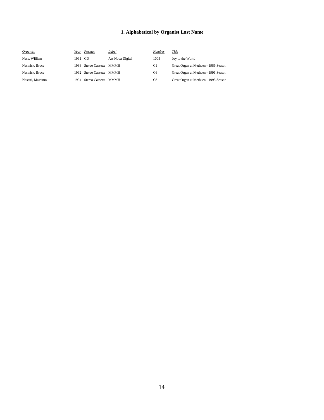| Organist         | Year    | Format                    | Label            | <b>Number</b>  | Title                                |
|------------------|---------|---------------------------|------------------|----------------|--------------------------------------|
| Ness, William    | 1991 CD |                           | Ars Nova Digital | 1003           | Joy to the World                     |
| Neswick, Bruce   | 1988    | Stereo Cassette MMMH      |                  | C1             | Great Organ at Methuen - 1986 Season |
| Neswick, Bruce   |         | 1992 Stereo Cassette MMMH |                  | C <sub>6</sub> | Great Organ at Methuen - 1991 Season |
| Nosetti, Massimo | 1994    | Stereo Cassette MMMH      |                  | C8             | Great Organ at Methuen - 1993 Season |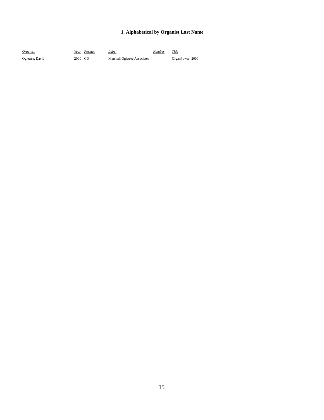| Organist        |         | Year Format | Label                        | Number | Title            |
|-----------------|---------|-------------|------------------------------|--------|------------------|
| Ogletree, David | 2000 CD |             | Marshall Ogletree Associates |        | OrganPower! 2000 |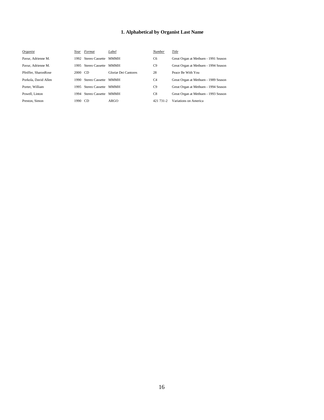| Organist             | Year  | Format                    | Label               | Number         | Title                                |
|----------------------|-------|---------------------------|---------------------|----------------|--------------------------------------|
| Pavur. Adrienne M.   | 1992  | Stereo Cassette MMMH      |                     | C <sub>6</sub> | Great Organ at Methuen - 1991 Season |
| Pavur. Adrienne M.   |       | 1995 Stereo Cassette MMMH |                     | C9             | Great Organ at Methuen - 1994 Season |
| Pfeiffer, SharonRose | 2000  | CD.                       | Gloriæ Dei Cantores | 28             | Peace Be With You                    |
| Porkola, David Allen | 1990. | Stereo Cassette MMMH      |                     | C <sub>4</sub> | Great Organ at Methuen - 1989 Season |
| Porter, William      | 1995  | Stereo Cassette MMMH      |                     | C9             | Great Organ at Methuen - 1994 Season |
| Powell, Linton       | 1994  | Stereo Cassette MMMH      |                     | C8             | Great Organ at Methuen - 1993 Season |
| Preston, Simon       | 1990  | CD.                       | ARGO                | 421 731-2      | Variations on America                |
|                      |       |                           |                     |                |                                      |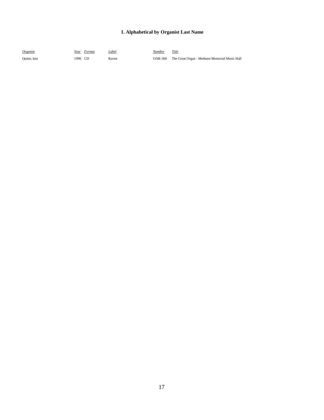| Organist    |         | Year Format | Label | Number | Title                                                 |
|-------------|---------|-------------|-------|--------|-------------------------------------------------------|
| Quinn, Iain | 1996 CD |             | Raven |        | OAR-360 The Great Organ - Methuen Memorial Music Hall |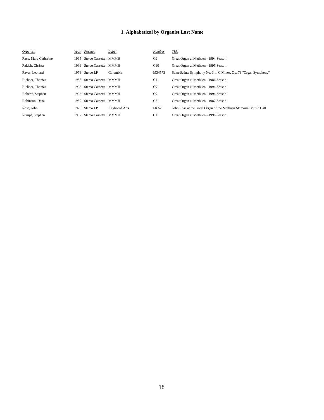| Organist             | Year | Format                    | Label         | Number         | Title                                                           |
|----------------------|------|---------------------------|---------------|----------------|-----------------------------------------------------------------|
| Race, Mary Catherine | 1995 | Stereo Cassette MMMH      |               | C9             | Great Organ at Methuen - 1994 Season                            |
| Rakich, Christa      |      | 1996 Stereo Cassette MMMH |               | C10            | Great Organ at Methuen - 1995 Season                            |
| Raver, Leonard       |      | 1978 Stereo LP            | Columbia      | M34573         | Saint-Saëns: Symphony No. 3 in C Minor, Op. 78 "Organ Symphony" |
| Richner, Thomas      | 1988 | Stereo Cassette MMMH      |               | C <sub>1</sub> | Great Organ at Methuen - 1986 Season                            |
| Richner, Thomas      | 1995 | Stereo Cassette MMMH      |               | C9             | Great Organ at Methuen - 1994 Season                            |
| Roberts, Stephen     | 1995 | Stereo Cassette MMMH      |               | C9             | Great Organ at Methuen - 1994 Season                            |
| Robinson, Dana       | 1989 | Stereo Cassette MMMH      |               | C <sub>2</sub> | Great Organ at Methuen - 1987 Season                            |
| Rose, John           | 1973 | Stereo LP                 | Keyboard Arts | $FKA-1$        | John Rose at the Great Organ of the Methuen Memorial Music Hall |
| Rumpf, Stephen       | 1997 | Stereo Cassette MMMH      |               | C11            | Great Organ at Methuen - 1996 Season                            |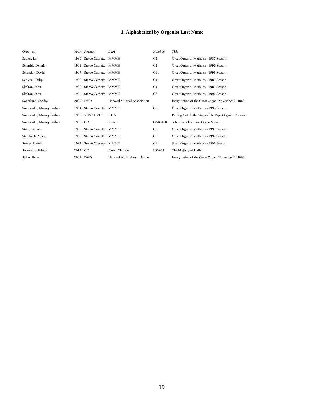| Organist                  | Year | Format                 | Label                              | Number         | Title                                                 |
|---------------------------|------|------------------------|------------------------------------|----------------|-------------------------------------------------------|
| Sadler, Ian               | 1989 | Stereo Cassette        | <b>MMMH</b>                        | C <sub>2</sub> | Great Organ at Methuen - 1987 Season                  |
| Schmidt, Dennis           | 1991 | Stereo Cassette MMMH   |                                    | C <sub>5</sub> | Great Organ at Methuen - 1990 Season                  |
| Schrader, David           | 1997 | Stereo Cassette MMMH   |                                    | C11            | Great Organ at Methuen - 1996 Season                  |
| Scriven, Philip           | 1990 | Stereo Cassette MMMH   |                                    | C <sub>4</sub> | Great Organ at Methuen - 1989 Season                  |
| Skelton, John             | 1990 | Stereo Cassette MMMH   |                                    | C <sub>4</sub> | Great Organ at Methuen - 1989 Season                  |
| Skelton, John             | 1993 | Stereo Cassette MMMH   |                                    | C7             | Great Organ at Methuen - 1992 Season                  |
| Soderlund, Sandra         |      | 2009 DVD               | <b>Harvard Musical Association</b> |                | Inauguration of the Great Organ: November 2, 1863     |
| Somerville, Murray Forbes | 1994 | <b>Stereo Cassette</b> | MMMH                               | C8             | Great Organ at Methuen - 1993 Season                  |
| Somerville, Murray Forbes | 1996 | VHS / DVD              | InCA                               |                | Pulling Out all the Stops - The Pipe Organ in America |
| Somerville, Murray Forbes | 1999 | <b>CD</b>              | Raven                              | OAR-460        | John Knowles Paine Organ Music                        |
| Starr, Kenneth            | 1992 | Stereo Cassette MMMH   |                                    | C <sub>6</sub> | Great Organ at Methuen - 1991 Season                  |
| Steinbach, Mark           | 1993 | Stereo Cassette MMMH   |                                    | C7             | Great Organ at Methuen - 1992 Season                  |
| Stover, Harold            | 1997 | Stereo Cassette MMMH   |                                    | C11            | Great Organ at Methuen - 1996 Season                  |
| Swanborn, Edwin           | 2017 | CD                     | Zamir Chorale                      | HZ-932         | The Majesty of Hallel                                 |
| Sykes, Peter              |      | 2009 DVD               | Harvard Musical Association        |                | Inauguration of the Great Organ: November 2, 1863     |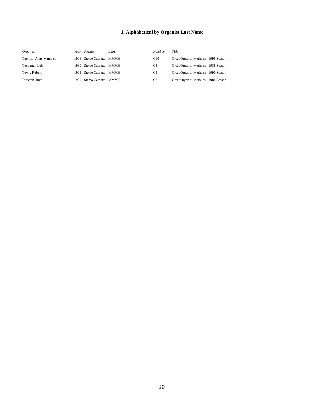| Organist             | Year  | Format                    | Label | <b>Number</b>  | Title                                |
|----------------------|-------|---------------------------|-------|----------------|--------------------------------------|
| Thomas, Anne Marsden |       | 1996 Stereo Cassette MMMH |       | C10            | Great Organ at Methuen - 1995 Season |
| Toeppner, Lois       | 1989. | Stereo Cassette MMMH      |       | C <sub>3</sub> | Great Organ at Methuen - 1988 Season |
| Town, Robert         | 1991  | Stereo Cassette MMMH      |       | C <sub>5</sub> | Great Organ at Methuen - 1990 Season |
| Tweeten, Ruth        | 1989. | Stereo Cassette MMMH      |       | C <sub>3</sub> | Great Organ at Methuen - 1988 Season |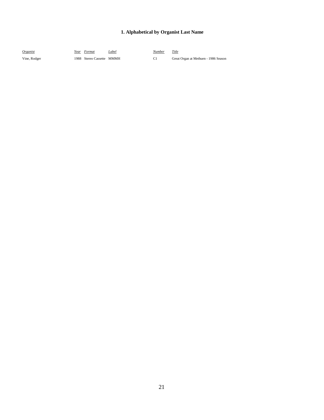| Organist     | Year Format               | Label | Number | Title                                |
|--------------|---------------------------|-------|--------|--------------------------------------|
| Vine, Rodger | 1988 Stereo Cassette MMMH |       |        | Great Organ at Methuen - 1986 Season |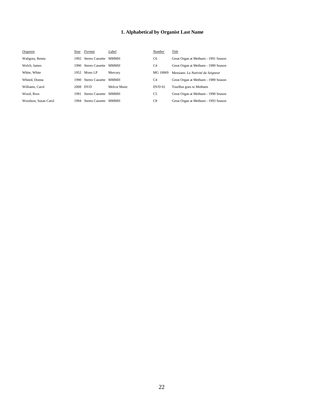| Organist             | Year | Format                    | Label        | Number         | Title                                |
|----------------------|------|---------------------------|--------------|----------------|--------------------------------------|
| Waligora, Renea      |      | 1992 Stereo Cassette MMMH |              | C <sub>6</sub> | Great Organ at Methuen - 1991 Season |
| Welch, James         | 1990 | Stereo Cassette MMMH      |              | C <sub>4</sub> | Great Organ at Methuen - 1989 Season |
| White, White         |      | 1952 Mono LP              | Mercury      | MG 10069       | Messiaen: La Nativité du Seigneur    |
| Whited, Donna        | 1990 | Stereo Cassette MMMH      |              | C <sub>4</sub> | Great Organ at Methuen - 1989 Season |
| Williams, Carol      |      | 2008 DVD                  | Melcot Music | DVD 02         | TourBus goes to Methuen              |
| Wood, Ross           | 1991 | Stereo Cassette MMMH      |              | C5             | Great Organ at Methuen - 1990 Season |
| Woodson, Susan Carol | 1994 | Stereo Cassette MMMH      |              | C8             | Great Organ at Methuen - 1993 Season |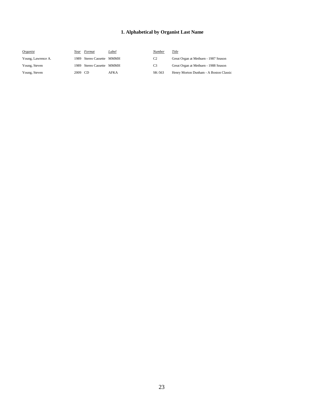| Organist           | Year    | Format                    | Label | Number         | Title                                  |
|--------------------|---------|---------------------------|-------|----------------|----------------------------------------|
| Young, Lawrence A. | 1989.   | Stereo Cassette           | MMMH  | C <sub>2</sub> | Great Organ at Methuen - 1987 Season   |
| Young, Steven      |         | 1989 Stereo Cassette MMMH |       | C3             | Great Organ at Methuen - 1988 Season   |
| Young, Steven      | 2009 CD |                           | AFKA  | SK-563         | Henry Morton Dunham - A Boston Classic |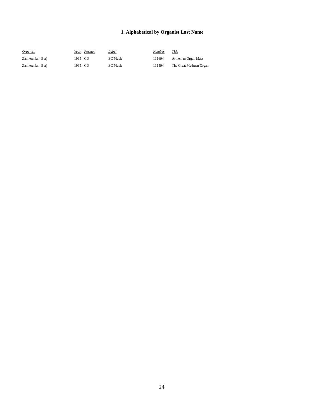| <i>Organist</i>  | Year    | Format | <u>Label</u>    | Number | Title                   |
|------------------|---------|--------|-----------------|--------|-------------------------|
| Zamkochian, Berj | 1995 CD |        | <b>ZC</b> Music | 111694 | Armenian Organ Mass     |
| Zamkochian. Beri | 1995 CD |        | <b>ZC</b> Music | 111594 | The Great Methuen Organ |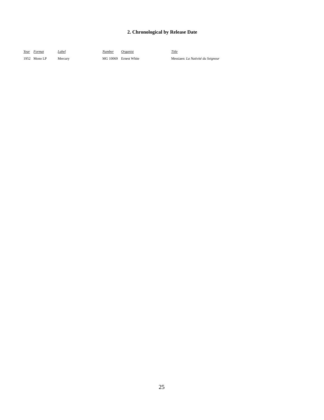| Year Format  | Label   | Number | Organist              | Title                             |
|--------------|---------|--------|-----------------------|-----------------------------------|
| 1952 Mono LP | Mercury |        | MG 10069 Ernest White | Messiaen: La Nativité du Seigneur |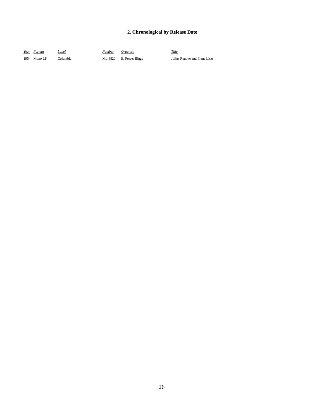| Year Format  | Label    | <u>Number</u> | Organist               | Title                         |
|--------------|----------|---------------|------------------------|-------------------------------|
| 1954 Mono LP | Columbia |               | ML 4820 E. Power Biggs | Julius Reubke and Franz Liszt |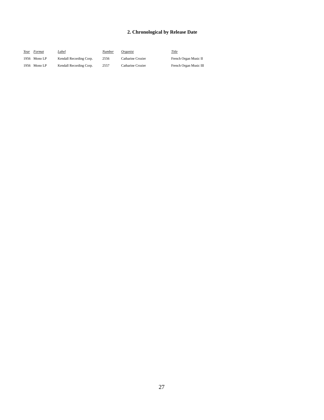| Year | Format       | Label                   | Number | <i>Organist</i>   | Title |
|------|--------------|-------------------------|--------|-------------------|-------|
|      | 1956 Mono LP | Kendall Recording Corp. | 2556   | Catharine Crozier | Fren  |
|      | 1956 Mono LP | Kendall Recording Corp. | 2557   | Catharine Crozier | Fren  |

French Organ Music II French Organ Music III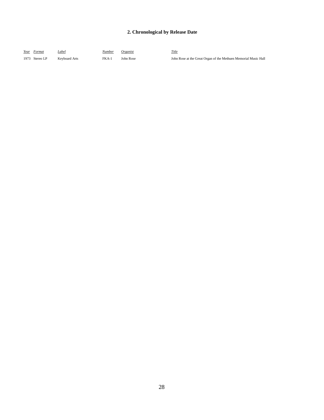| Year Format    | Label         | Number  | Organist  | Title |
|----------------|---------------|---------|-----------|-------|
| 1973 Stereo LP | Keyboard Arts | $FKA-1$ | John Rose | John  |

John Rose at the Great Organ of the Methuen Memorial Music Hall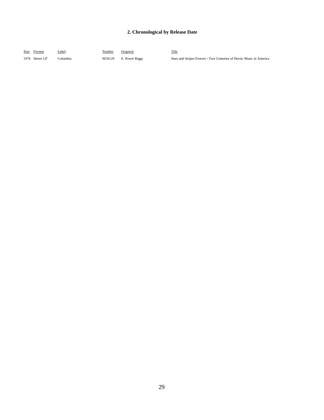| Year Format    | Label    | Number | <i>Organist</i> | Title                                                                |
|----------------|----------|--------|-----------------|----------------------------------------------------------------------|
| 1976 Stereo LP | Columbia | M34129 | E. Power Biggs  | Stars and Stripes Forever / Two Centuries of Heroic Music in America |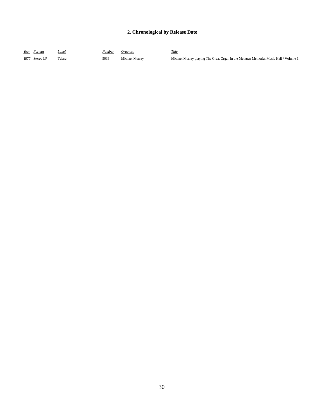| Year Format        | Label | Number | Organist       | Title                                                                                |
|--------------------|-------|--------|----------------|--------------------------------------------------------------------------------------|
| 1977<br>Stereo I P |       | 5036   | Michael Murrav | Michael Murray playing The Great Organ in the Methuen Memorial Music Hall / Volume 1 |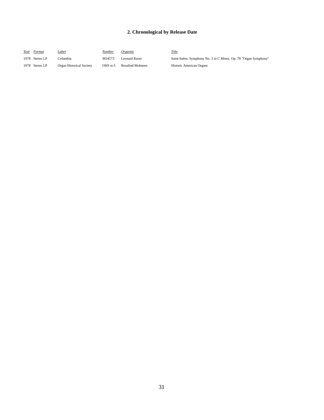| Year Format    | <u>Label</u>             | <u>Number</u> | Organist         | <b>Title</b>                                                    |
|----------------|--------------------------|---------------|------------------|-----------------------------------------------------------------|
| 1978 Stereo LP | Columbia∶                | M34573        | Leonard Raver    | Saint-Saëns: Symphony No. 3 in C Minor, Op. 78 "Organ Symphony" |
| 1978 Stereo LP | Organ Historical Society | OHS st-5      | Rosalind Mohnsen | Historic American Organs                                        |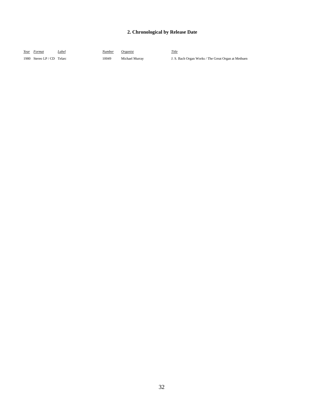| Year Format                | Label | Number | Organist       | Title                                               |
|----------------------------|-------|--------|----------------|-----------------------------------------------------|
| 1980 Stereo LP / CD Telarc |       | 10049  | Michael Murray | J. S. Bach Organ Works / The Great Organ at Methuen |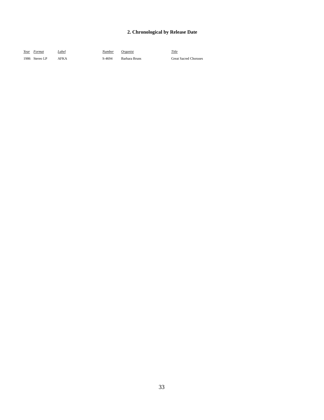| Year Format    | Label | Number | Organist      | Title                        |
|----------------|-------|--------|---------------|------------------------------|
| 1986 Stereo LP | AFKA  | S-4694 | Barbara Bruns | <b>Great Sacred Choruses</b> |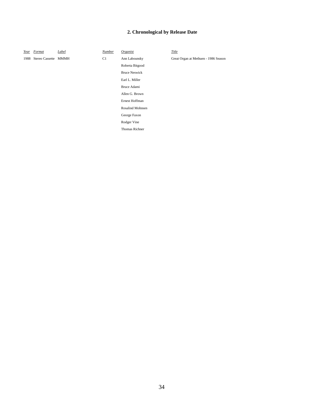*Year Format Label Number Organist Title*

Roberta Bitgood Bruce Neswick Earl L. Miller Bruce Adami Allen G. Brown Ernest Hoffman Rosalind Mohnsen George Faxon Rodger Vine Thomas Richner

1988 Stereo Cassette MMMH C1 Ann Labounsky Great Organ at Methuen - 1986 Season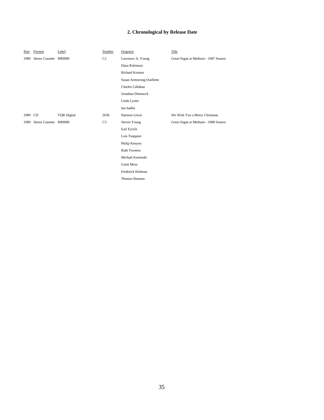| Year    | Format               | Label              | Number         | Organist                  | Title                                |
|---------|----------------------|--------------------|----------------|---------------------------|--------------------------------------|
| 1989    | Stereo Cassette MMMH |                    | C <sub>2</sub> | Lawrence A. Young         | Great Organ at Methuen - 1987 Season |
|         |                      |                    |                | Dana Robinson             |                                      |
|         |                      |                    |                | Richard Konzen            |                                      |
|         |                      |                    |                | Susan Armstrong-Ouellette |                                      |
|         |                      |                    |                | Charles Callahan          |                                      |
|         |                      |                    |                | Jonathan Dimmock          |                                      |
|         |                      |                    |                | Linda Lyster              |                                      |
|         |                      |                    |                | Ian Sadler                |                                      |
| 1989 CD |                      | <b>VQR</b> Digital | 2036           | Harmon Lewis              | We Wish You a Merry Christmas        |
| 1989    | Stereo Cassette MMMH |                    | C <sub>3</sub> | <b>Steven Young</b>       | Great Organ at Methuen - 1988 Season |
|         |                      |                    |                | Earl Eyrich               |                                      |
|         |                      |                    |                | Lois Toeppner             |                                      |
|         |                      |                    |                | Philip Kenyon             |                                      |
|         |                      |                    |                | <b>Ruth Tweeten</b>       |                                      |
|         |                      |                    |                | Michael Kaminski          |                                      |
|         |                      |                    |                | <b>Grant Moss</b>         |                                      |
|         |                      |                    |                | Frederick Hohman          |                                      |
|         |                      |                    |                | Thomas Harmon             |                                      |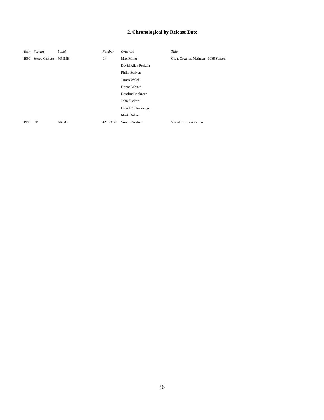| Year | Format               | Label       | Number    | Organist                | Title                                |
|------|----------------------|-------------|-----------|-------------------------|--------------------------------------|
| 1990 | Stereo Cassette MMMH |             | C4        | Max Miller              | Great Organ at Methuen - 1989 Season |
|      |                      |             |           | David Allen Porkola     |                                      |
|      |                      |             |           | Philip Scriven          |                                      |
|      |                      |             |           | James Welch             |                                      |
|      |                      |             |           | Donna Whited            |                                      |
|      |                      |             |           | <b>Rosalind Mohnsen</b> |                                      |
|      |                      |             |           | John Skelton            |                                      |
|      |                      |             |           | David R. Hunsberger     |                                      |
|      |                      |             |           | Mark Dirksen            |                                      |
| 1990 | CD.                  | <b>ARGO</b> | 421 731-2 | <b>Simon Preston</b>    | Variations on America                |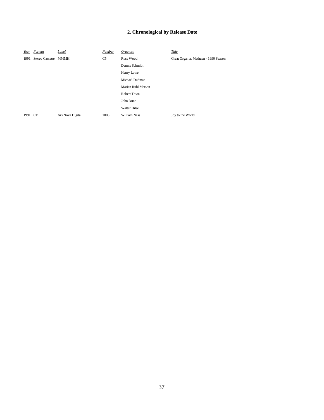| Year    | Format               | Label            | Number         | Organist            | Title                                |
|---------|----------------------|------------------|----------------|---------------------|--------------------------------------|
| 1991    | Stereo Cassette MMMH |                  | C <sub>5</sub> | Ross Wood           | Great Organ at Methuen - 1990 Season |
|         |                      |                  |                | Dennis Schmidt      |                                      |
|         |                      |                  |                | Henry Lowe          |                                      |
|         |                      |                  |                | Michael Dudman      |                                      |
|         |                      |                  |                | Marian Ruhl Metson  |                                      |
|         |                      |                  |                | Robert Town         |                                      |
|         |                      |                  |                | John Dunn           |                                      |
|         |                      |                  |                | <b>Walter Hilse</b> |                                      |
| 1991 CD |                      | Ars Nova Digital | 1003           | <b>William Ness</b> | Joy to the World                     |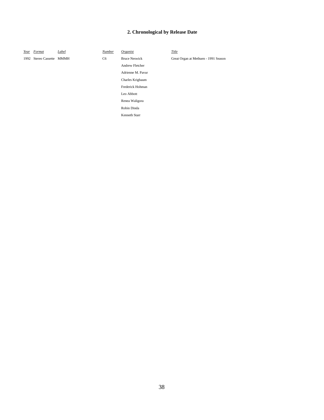*Year Format Label Number Organist Title*

Andrew Fletcher Adrienne M. Pavur Charles Krigbaum Frederick Hohman Leo Abbott Renea Waligora Robin Dinda Kenneth Starr

1992 Stereo Cassette MMMH C6 Bruce Neswick Great Organ at Methuen - 1991 Season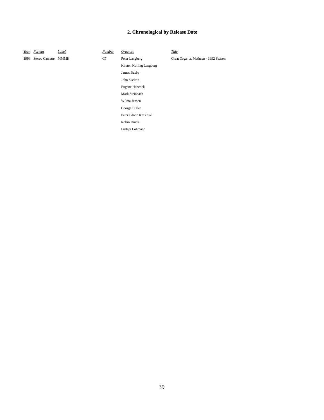Kirsten Kolling Langberg

James Busby John Skelton Eugene Hancock Mark Steinbach Wilma Jensen George Butler Peter Edwin Krasinski Robin Dinda Ludger Lohmann

*Year Format Label Number Organist Title*

1993 Stereo Cassette MMMH C7 Peter Langberg Great Organ at Methuen - 1992 Season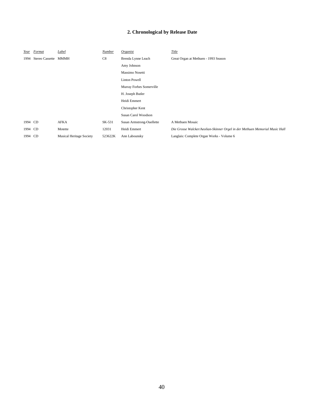| Year    | Format               | Label                           | Number  | Organist                  | Title                                                                       |
|---------|----------------------|---------------------------------|---------|---------------------------|-----------------------------------------------------------------------------|
| 1994    | Stereo Cassette MMMH |                                 | C8      | Brenda Lynne Leach        | Great Organ at Methuen - 1993 Season                                        |
|         |                      |                                 |         | Amy Johnson               |                                                                             |
|         |                      |                                 |         | Massimo Nosetti           |                                                                             |
|         |                      |                                 |         | <b>Linton Powell</b>      |                                                                             |
|         |                      |                                 |         | Murray Forbes Somerville  |                                                                             |
|         |                      |                                 |         | H. Joseph Butler          |                                                                             |
|         |                      |                                 |         | Heidi Emmert              |                                                                             |
|         |                      |                                 |         | Christopher Kent          |                                                                             |
|         |                      |                                 |         | Susan Carol Woodson       |                                                                             |
| 1994 CD |                      | AFKA                            | SK-531  | Susan Armstrong-Ouellette | A Methuen Mosaic                                                            |
| 1994 CD |                      | Motette                         | 12031   | Heidi Emmert              | Die Grosse Walcker/Aeolian-Skinner Orgel in der Methuen Memorial Music Hall |
| 1994 CD |                      | <b>Musical Heritage Society</b> | 523622K | Ann Labounsky             | Langlais: Complete Organ Works - Volume 6                                   |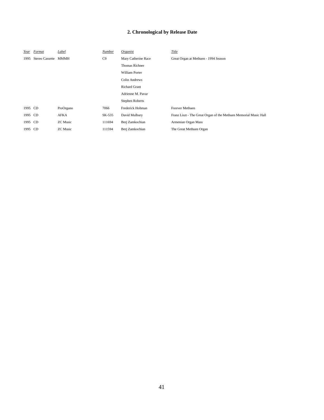| Year    | Format          | Label           | Number | Organist              | Title                                                            |
|---------|-----------------|-----------------|--------|-----------------------|------------------------------------------------------------------|
| 1995    | Stereo Cassette | <b>MMMH</b>     | C9     | Mary Catherine Race   | Great Organ at Methuen - 1994 Season                             |
|         |                 |                 |        | <b>Thomas Richner</b> |                                                                  |
|         |                 |                 |        | <b>William Porter</b> |                                                                  |
|         |                 |                 |        | <b>Colin Andrews</b>  |                                                                  |
|         |                 |                 |        | <b>Richard Grant</b>  |                                                                  |
|         |                 |                 |        | Adrienne M. Pavur     |                                                                  |
|         |                 |                 |        | Stephen Roberts       |                                                                  |
| 1995 CD |                 | ProOrgano       | 7066   | Frederick Hohman      | <b>Forever Methuen</b>                                           |
| 1995 CD |                 | AFKA            | SK-535 | David Mulbury         | Franz Liszt - The Great Organ of the Methuen Memorial Music Hall |
| 1995 CD |                 | <b>ZC</b> Music | 111694 | Berj Zamkochian       | Armenian Organ Mass                                              |
| 1995 CD |                 | <b>ZC</b> Music | 111594 | Berj Zamkochian       | The Great Methuen Organ                                          |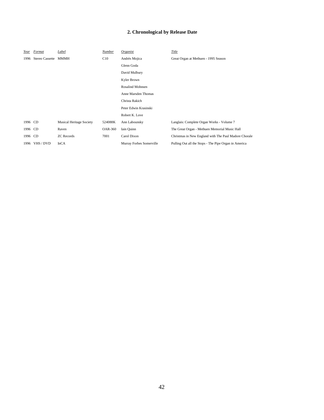| Year    | Format          | Label                           | Number         | Organist                 | Title                                                 |
|---------|-----------------|---------------------------------|----------------|--------------------------|-------------------------------------------------------|
| 1996    | Stereo Cassette | MMMH                            | C10            | Andrès Mojica            | Great Organ at Methuen - 1995 Season                  |
|         |                 |                                 |                | Glenn Goda               |                                                       |
|         |                 |                                 |                | David Mulbury            |                                                       |
|         |                 |                                 |                | Kyler Brown              |                                                       |
|         |                 |                                 |                | <b>Rosalind Mohnsen</b>  |                                                       |
|         |                 |                                 |                | Anne Marsden Thomas      |                                                       |
|         |                 |                                 |                | Christa Rakich           |                                                       |
|         |                 |                                 |                | Peter Edwin Krasinski    |                                                       |
|         |                 |                                 |                | Robert K. Love           |                                                       |
| 1996 CD |                 | <b>Musical Heritage Society</b> | 524088K        | Ann Labounsky            | Langlais: Complete Organ Works - Volume 7             |
| 1996 CD |                 | Raven                           | <b>OAR-360</b> | Iain Ouinn               | The Great Organ - Methuen Memorial Music Hall         |
| 1996 CD |                 | <b>ZC</b> Records               | 7001           | Carol Dixon              | Christmas in New England with The Paul Madore Chorale |
|         | 1996 VHS / DVD  | InCA                            |                | Murray Forbes Somerville | Pulling Out all the Stops - The Pipe Organ in America |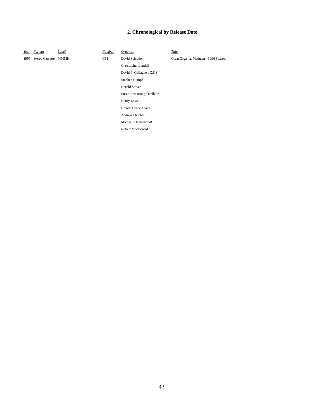*Year Format Label Number Organist Title*

Christopher Lundell David F. Gallagher, C.S.S. Stephen Rumpf Harold Stover

Susan Armstrong-Ouellette

Henry Lowe Brenda Lynne Leach Andrew Fletcher Michael Kleinschmidt Robert MacDonald

1997 Stereo Cassette MMMH C11 David Schrader Great Organ at Methuen - 1996 Season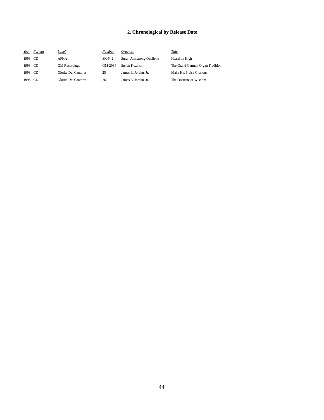| Year    | Format | Label                | Number  | Organist                  | Title                            |
|---------|--------|----------------------|---------|---------------------------|----------------------------------|
| 1998 CD |        | <b>AFKA</b>          | SK-542  | Susan Armstrong-Ouellette | Heard on High                    |
| 1998 CD |        | <b>GM</b> Recordings | GM-2064 | Stefan Kozinski           | The Grand German Organ Tradition |
| 1998 CD |        | Gloriæ Dei Cantores  | 25      | James E. Jordan, Jr.      | Make His Praise Glorious         |
| 1998 CD |        | Gloriæ Dei Cantores  | 26      | James E. Jordan, Jr.      | The Doctrine of Wisdom           |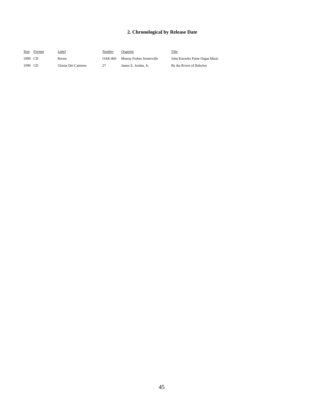| Year    | Format | Label               | Number  | Organist                 | Title                          |
|---------|--------|---------------------|---------|--------------------------|--------------------------------|
| 1999 CD |        | Raven               | OAR-460 | Murray Forbes Somerville | John Knowles Paine Organ Music |
| 1999 CD |        | Gloriæ Dei Cantores | 27      | James E. Jordan, Jr.     | By the Rivers of Babylon       |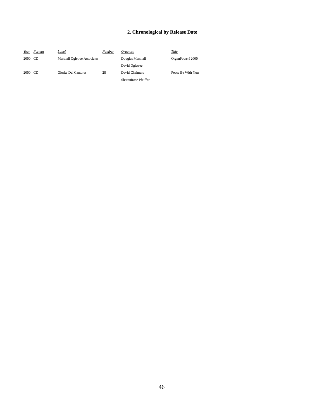| Year    | Format | <u>Label</u>                 | Number | Organist            | Title             |
|---------|--------|------------------------------|--------|---------------------|-------------------|
| 2000 CD |        | Marshall Ogletree Associates |        | Douglas Marshall    | OrganPower! 2000  |
|         |        |                              |        | David Ogletree      |                   |
| 2000 CD |        | Gloriæ Dei Cantores          | 28     | David Chalmers      | Peace Be With You |
|         |        |                              |        | SharonRose Pfeiffer |                   |
|         |        |                              |        |                     |                   |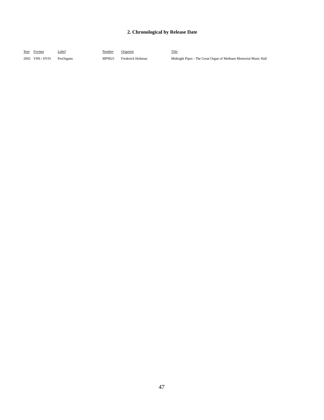| Year Format |                | Label     | <u>Number</u> | Oreanist         | Title                                                           |
|-------------|----------------|-----------|---------------|------------------|-----------------------------------------------------------------|
|             | 2002 VHS / DVD | ProOrgano | MP9021        | Frederick Hohman | Midnight Pipes - The Great Organ of Methuen Memorial Music Hall |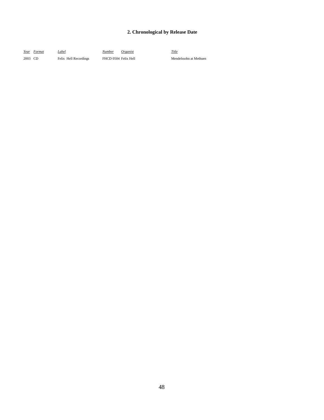*Year Format Label Number Organist Title*

2003 CD Felix Hell Recordings FHCD 0504 Felix Hell Mendelssohn at Methuen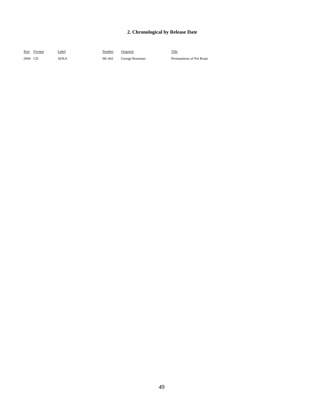| Year Format | Label | Number | <i>Organist</i> | Title                     |
|-------------|-------|--------|-----------------|---------------------------|
| 2004 CD     | AFK A | SK-442 | George Bozeman  | Permutations of Pot Roast |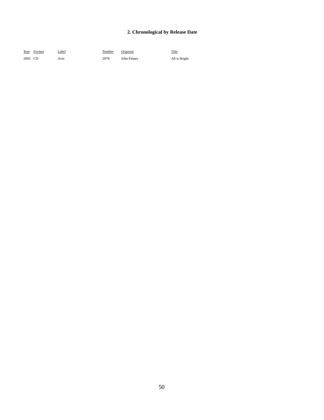|         | Year Format | Label | Number | <i>Organist</i> | Title         |
|---------|-------------|-------|--------|-----------------|---------------|
| 2005 CD |             | Avie  | 2078   | John Finney     | All is Bright |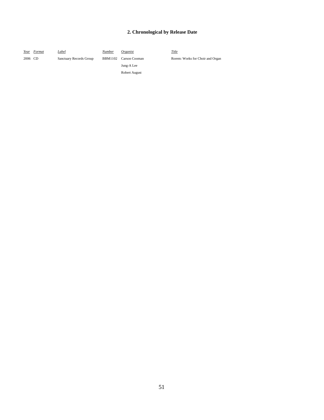| Year    | Format | Label                   | Number | Organist              | Title |
|---------|--------|-------------------------|--------|-----------------------|-------|
| 2006 CD |        | Sanctuary Records Group |        | BBM1102 Carson Cooman | Rore  |
|         |        |                         |        | Jung-A Lee            |       |
|         |        |                         |        | Robert August         |       |

Rorem: Works for Choir and Organ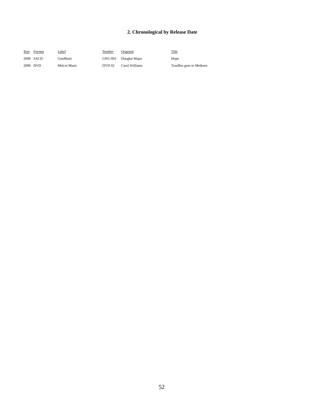| Year     | Format    | Label        | Number  | Organist       | <u>Title</u>            |
|----------|-----------|--------------|---------|----------------|-------------------------|
|          | 2008 SACD | GnuMusic     | GNU-001 | Douglas Major  | Hope                    |
| 2008 DVD |           | Melcot Music | DVD 02  | Carol Williams | TourBus goes to Methuen |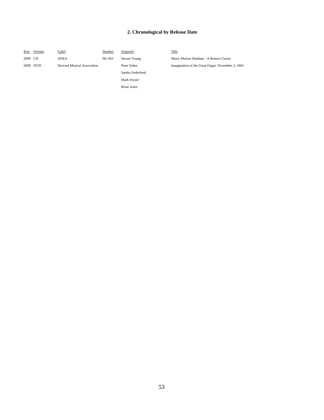| Year    | Format   | Label                              | Number | Organist           | Title                                             |
|---------|----------|------------------------------------|--------|--------------------|---------------------------------------------------|
| 2009 CD |          | <b>AFKA</b>                        | SK-563 | Steven Young       | Henry Morton Dunham - A Boston Classic            |
|         | 2009 DVD | <b>Harvard Musical Association</b> |        | Peter Sykes        | Inauguration of the Great Organ: November 2, 1863 |
|         |          |                                    |        | Sandra Soderlund   |                                                   |
|         |          |                                    |        | Mark Dwyer         |                                                   |
|         |          |                                    |        | <b>Brian Jones</b> |                                                   |
|         |          |                                    |        |                    |                                                   |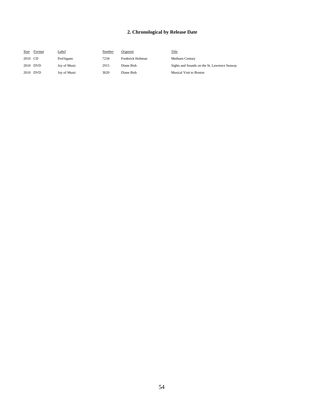| Year     | Format | Label        | Number | Organist         | Title                                        |
|----------|--------|--------------|--------|------------------|----------------------------------------------|
| 2010 CD  |        | ProOrgano    | 7234   | Frederick Hohman | <b>Methuen Century</b>                       |
| 2010 DVD |        | Joy of Music | 2915   | Diane Bish       | Sights and Sounds on the St. Lawrence Seaway |
| 2010 DVD |        | Joy of Music | 3020   | Diane Bish       | Musical Visit to Boston                      |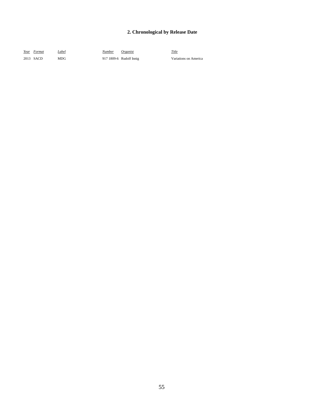| Year Format | Label | Number | Organist                | Title                 |
|-------------|-------|--------|-------------------------|-----------------------|
| 2013 SACD   | MDG   |        | 917 1809-6 Rudolf Innig | Variations on America |